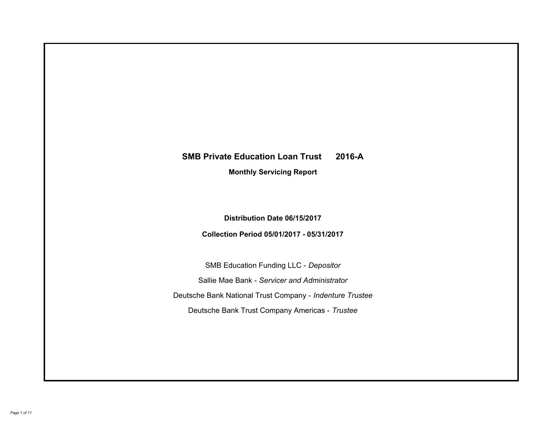# **SMB Private Education Loan Trust 2016-A Monthly Servicing Report**

**Distribution Date 06/15/2017**

**Collection Period 05/01/2017 - 05/31/2017**

SMB Education Funding LLC - *Depositor* Sallie Mae Bank - *Servicer and Administrator* Deutsche Bank National Trust Company - *Indenture Trustee* Deutsche Bank Trust Company Americas - *Trustee*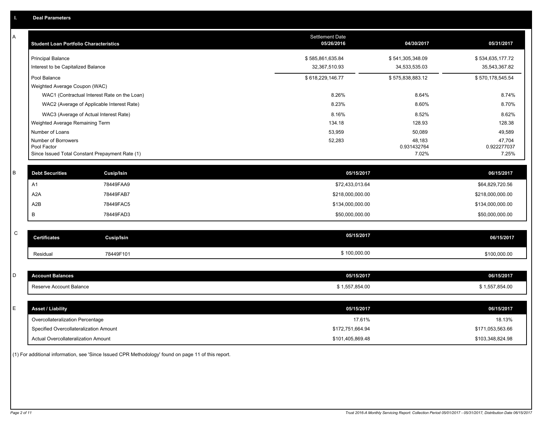| Α           | <b>Student Loan Portfolio Characteristics</b>   |                   | <b>Settlement Date</b><br>05/26/2016 | 04/30/2017            | 05/31/2017            |
|-------------|-------------------------------------------------|-------------------|--------------------------------------|-----------------------|-----------------------|
|             | <b>Principal Balance</b>                        |                   | \$585,861,635.84                     | \$541,305,348.09      | \$534,635,177.72      |
|             | Interest to be Capitalized Balance              |                   | 32,367,510.93                        | 34,533,535.03         | 35,543,367.82         |
|             | Pool Balance                                    |                   | \$618,229,146.77                     | \$575,838,883.12      | \$570,178,545.54      |
|             | Weighted Average Coupon (WAC)                   |                   |                                      |                       |                       |
|             | WAC1 (Contractual Interest Rate on the Loan)    |                   | 8.26%                                | 8.64%                 | 8.74%                 |
|             | WAC2 (Average of Applicable Interest Rate)      |                   | 8.23%                                | 8.60%                 | 8.70%                 |
|             | WAC3 (Average of Actual Interest Rate)          |                   | 8.16%                                | 8.52%                 | 8.62%                 |
|             | Weighted Average Remaining Term                 |                   | 134.18                               | 128.93                | 128.38                |
|             | Number of Loans                                 |                   | 53,959                               | 50,089                | 49,589                |
|             | Number of Borrowers<br>Pool Factor              |                   | 52,283                               | 48,183<br>0.931432764 | 47,704<br>0.922277037 |
|             | Since Issued Total Constant Prepayment Rate (1) |                   |                                      | 7.02%                 | 7.25%                 |
|             |                                                 |                   |                                      |                       |                       |
| B           | <b>Debt Securities</b>                          | <b>Cusip/Isin</b> | 05/15/2017                           |                       | 06/15/2017            |
|             | A1                                              | 78449FAA9         | \$72,433,013.64                      |                       | \$64,829,720.56       |
|             | A <sub>2</sub> A                                | 78449FAB7         | \$218,000,000.00                     |                       | \$218,000,000.00      |
|             | A2B                                             | 78449FAC5         | \$134,000,000.00                     |                       | \$134,000,000.00      |
|             | B                                               | 78449FAD3         | \$50,000,000.00                      |                       | \$50,000,000.00       |
|             |                                                 |                   |                                      |                       |                       |
| $\mathbf C$ | <b>Certificates</b>                             | <b>Cusip/Isin</b> | 05/15/2017                           |                       | 06/15/2017            |
|             | Residual                                        | 78449F101         | \$100,000.00                         |                       | \$100,000.00          |
|             |                                                 |                   |                                      |                       |                       |
| D           | <b>Account Balances</b>                         |                   | 05/15/2017                           |                       | 06/15/2017            |
|             | Reserve Account Balance                         |                   | \$1,557,854.00                       |                       | \$1,557,854.00        |
|             |                                                 |                   |                                      |                       |                       |
| E           | <b>Asset / Liability</b>                        |                   | 05/15/2017                           |                       | 06/15/2017            |
|             | Overcollateralization Percentage                |                   | 17.61%                               |                       | 18.13%                |
|             | Specified Overcollateralization Amount          |                   | \$172,751,664.94                     |                       | \$171,053,563.66      |
|             | <b>Actual Overcollateralization Amount</b>      |                   | \$101,405,869.48                     |                       | \$103,348,824.98      |

(1) For additional information, see 'Since Issued CPR Methodology' found on page 11 of this report.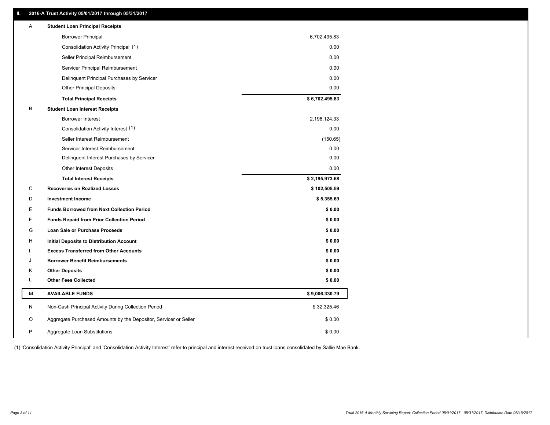## **II. 2016-A Trust Activity 05/01/2017 through 05/31/2017**

| <b>Borrower Principal</b><br>6,702,495.83<br>0.00<br>Consolidation Activity Principal (1)<br>0.00<br>Seller Principal Reimbursement<br>0.00<br>Servicer Principal Reimbursement<br>0.00<br>Delinquent Principal Purchases by Servicer<br><b>Other Principal Deposits</b><br>0.00<br>\$6,702,495.83<br><b>Total Principal Receipts</b><br>В<br><b>Student Loan Interest Receipts</b><br>2,196,124.33<br>Borrower Interest<br>Consolidation Activity Interest (1)<br>0.00<br>Seller Interest Reimbursement<br>(150.65)<br>0.00<br>Servicer Interest Reimbursement<br>0.00<br>Delinquent Interest Purchases by Servicer<br>0.00<br><b>Other Interest Deposits</b><br>\$2,195,973.68<br><b>Total Interest Receipts</b><br>C<br><b>Recoveries on Realized Losses</b><br>\$102,505.59<br>D<br><b>Investment Income</b><br>\$5,355.69<br>Е<br><b>Funds Borrowed from Next Collection Period</b><br>\$0.00<br>F<br>\$0.00<br><b>Funds Repaid from Prior Collection Period</b><br>G<br>\$0.00<br>Loan Sale or Purchase Proceeds<br>\$0.00<br>H<br>Initial Deposits to Distribution Account<br><b>Excess Transferred from Other Accounts</b><br>\$0.00<br>ı<br>\$0.00<br><b>Borrower Benefit Reimbursements</b><br>J<br>κ<br><b>Other Deposits</b><br>\$0.00<br><b>Other Fees Collected</b><br>\$0.00<br>L<br>М<br><b>AVAILABLE FUNDS</b><br>\$9,006,330.79<br>N<br>Non-Cash Principal Activity During Collection Period<br>\$32,325.46<br>Aggregate Purchased Amounts by the Depositor, Servicer or Seller<br>O<br>\$0.00<br>P<br>\$0.00<br>Aggregate Loan Substitutions | Α | <b>Student Loan Principal Receipts</b> |  |
|-----------------------------------------------------------------------------------------------------------------------------------------------------------------------------------------------------------------------------------------------------------------------------------------------------------------------------------------------------------------------------------------------------------------------------------------------------------------------------------------------------------------------------------------------------------------------------------------------------------------------------------------------------------------------------------------------------------------------------------------------------------------------------------------------------------------------------------------------------------------------------------------------------------------------------------------------------------------------------------------------------------------------------------------------------------------------------------------------------------------------------------------------------------------------------------------------------------------------------------------------------------------------------------------------------------------------------------------------------------------------------------------------------------------------------------------------------------------------------------------------------------------------------------------------------------------|---|----------------------------------------|--|
|                                                                                                                                                                                                                                                                                                                                                                                                                                                                                                                                                                                                                                                                                                                                                                                                                                                                                                                                                                                                                                                                                                                                                                                                                                                                                                                                                                                                                                                                                                                                                                 |   |                                        |  |
|                                                                                                                                                                                                                                                                                                                                                                                                                                                                                                                                                                                                                                                                                                                                                                                                                                                                                                                                                                                                                                                                                                                                                                                                                                                                                                                                                                                                                                                                                                                                                                 |   |                                        |  |
|                                                                                                                                                                                                                                                                                                                                                                                                                                                                                                                                                                                                                                                                                                                                                                                                                                                                                                                                                                                                                                                                                                                                                                                                                                                                                                                                                                                                                                                                                                                                                                 |   |                                        |  |
|                                                                                                                                                                                                                                                                                                                                                                                                                                                                                                                                                                                                                                                                                                                                                                                                                                                                                                                                                                                                                                                                                                                                                                                                                                                                                                                                                                                                                                                                                                                                                                 |   |                                        |  |
|                                                                                                                                                                                                                                                                                                                                                                                                                                                                                                                                                                                                                                                                                                                                                                                                                                                                                                                                                                                                                                                                                                                                                                                                                                                                                                                                                                                                                                                                                                                                                                 |   |                                        |  |
|                                                                                                                                                                                                                                                                                                                                                                                                                                                                                                                                                                                                                                                                                                                                                                                                                                                                                                                                                                                                                                                                                                                                                                                                                                                                                                                                                                                                                                                                                                                                                                 |   |                                        |  |
|                                                                                                                                                                                                                                                                                                                                                                                                                                                                                                                                                                                                                                                                                                                                                                                                                                                                                                                                                                                                                                                                                                                                                                                                                                                                                                                                                                                                                                                                                                                                                                 |   |                                        |  |
|                                                                                                                                                                                                                                                                                                                                                                                                                                                                                                                                                                                                                                                                                                                                                                                                                                                                                                                                                                                                                                                                                                                                                                                                                                                                                                                                                                                                                                                                                                                                                                 |   |                                        |  |
|                                                                                                                                                                                                                                                                                                                                                                                                                                                                                                                                                                                                                                                                                                                                                                                                                                                                                                                                                                                                                                                                                                                                                                                                                                                                                                                                                                                                                                                                                                                                                                 |   |                                        |  |
|                                                                                                                                                                                                                                                                                                                                                                                                                                                                                                                                                                                                                                                                                                                                                                                                                                                                                                                                                                                                                                                                                                                                                                                                                                                                                                                                                                                                                                                                                                                                                                 |   |                                        |  |
|                                                                                                                                                                                                                                                                                                                                                                                                                                                                                                                                                                                                                                                                                                                                                                                                                                                                                                                                                                                                                                                                                                                                                                                                                                                                                                                                                                                                                                                                                                                                                                 |   |                                        |  |
|                                                                                                                                                                                                                                                                                                                                                                                                                                                                                                                                                                                                                                                                                                                                                                                                                                                                                                                                                                                                                                                                                                                                                                                                                                                                                                                                                                                                                                                                                                                                                                 |   |                                        |  |
|                                                                                                                                                                                                                                                                                                                                                                                                                                                                                                                                                                                                                                                                                                                                                                                                                                                                                                                                                                                                                                                                                                                                                                                                                                                                                                                                                                                                                                                                                                                                                                 |   |                                        |  |
|                                                                                                                                                                                                                                                                                                                                                                                                                                                                                                                                                                                                                                                                                                                                                                                                                                                                                                                                                                                                                                                                                                                                                                                                                                                                                                                                                                                                                                                                                                                                                                 |   |                                        |  |
|                                                                                                                                                                                                                                                                                                                                                                                                                                                                                                                                                                                                                                                                                                                                                                                                                                                                                                                                                                                                                                                                                                                                                                                                                                                                                                                                                                                                                                                                                                                                                                 |   |                                        |  |
|                                                                                                                                                                                                                                                                                                                                                                                                                                                                                                                                                                                                                                                                                                                                                                                                                                                                                                                                                                                                                                                                                                                                                                                                                                                                                                                                                                                                                                                                                                                                                                 |   |                                        |  |
|                                                                                                                                                                                                                                                                                                                                                                                                                                                                                                                                                                                                                                                                                                                                                                                                                                                                                                                                                                                                                                                                                                                                                                                                                                                                                                                                                                                                                                                                                                                                                                 |   |                                        |  |
|                                                                                                                                                                                                                                                                                                                                                                                                                                                                                                                                                                                                                                                                                                                                                                                                                                                                                                                                                                                                                                                                                                                                                                                                                                                                                                                                                                                                                                                                                                                                                                 |   |                                        |  |
|                                                                                                                                                                                                                                                                                                                                                                                                                                                                                                                                                                                                                                                                                                                                                                                                                                                                                                                                                                                                                                                                                                                                                                                                                                                                                                                                                                                                                                                                                                                                                                 |   |                                        |  |
|                                                                                                                                                                                                                                                                                                                                                                                                                                                                                                                                                                                                                                                                                                                                                                                                                                                                                                                                                                                                                                                                                                                                                                                                                                                                                                                                                                                                                                                                                                                                                                 |   |                                        |  |
|                                                                                                                                                                                                                                                                                                                                                                                                                                                                                                                                                                                                                                                                                                                                                                                                                                                                                                                                                                                                                                                                                                                                                                                                                                                                                                                                                                                                                                                                                                                                                                 |   |                                        |  |
|                                                                                                                                                                                                                                                                                                                                                                                                                                                                                                                                                                                                                                                                                                                                                                                                                                                                                                                                                                                                                                                                                                                                                                                                                                                                                                                                                                                                                                                                                                                                                                 |   |                                        |  |
|                                                                                                                                                                                                                                                                                                                                                                                                                                                                                                                                                                                                                                                                                                                                                                                                                                                                                                                                                                                                                                                                                                                                                                                                                                                                                                                                                                                                                                                                                                                                                                 |   |                                        |  |
|                                                                                                                                                                                                                                                                                                                                                                                                                                                                                                                                                                                                                                                                                                                                                                                                                                                                                                                                                                                                                                                                                                                                                                                                                                                                                                                                                                                                                                                                                                                                                                 |   |                                        |  |
|                                                                                                                                                                                                                                                                                                                                                                                                                                                                                                                                                                                                                                                                                                                                                                                                                                                                                                                                                                                                                                                                                                                                                                                                                                                                                                                                                                                                                                                                                                                                                                 |   |                                        |  |
|                                                                                                                                                                                                                                                                                                                                                                                                                                                                                                                                                                                                                                                                                                                                                                                                                                                                                                                                                                                                                                                                                                                                                                                                                                                                                                                                                                                                                                                                                                                                                                 |   |                                        |  |
|                                                                                                                                                                                                                                                                                                                                                                                                                                                                                                                                                                                                                                                                                                                                                                                                                                                                                                                                                                                                                                                                                                                                                                                                                                                                                                                                                                                                                                                                                                                                                                 |   |                                        |  |
|                                                                                                                                                                                                                                                                                                                                                                                                                                                                                                                                                                                                                                                                                                                                                                                                                                                                                                                                                                                                                                                                                                                                                                                                                                                                                                                                                                                                                                                                                                                                                                 |   |                                        |  |
|                                                                                                                                                                                                                                                                                                                                                                                                                                                                                                                                                                                                                                                                                                                                                                                                                                                                                                                                                                                                                                                                                                                                                                                                                                                                                                                                                                                                                                                                                                                                                                 |   |                                        |  |

(1) 'Consolidation Activity Principal' and 'Consolidation Activity Interest' refer to principal and interest received on trust loans consolidated by Sallie Mae Bank.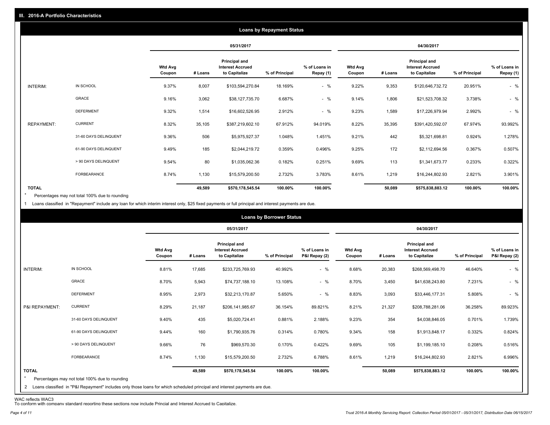|                   |                       |                          |         |                                                           | <b>Loans by Repayment Status</b> |                            |                          |         |                                                                  |                |                            |
|-------------------|-----------------------|--------------------------|---------|-----------------------------------------------------------|----------------------------------|----------------------------|--------------------------|---------|------------------------------------------------------------------|----------------|----------------------------|
|                   |                       |                          |         | 05/31/2017                                                |                                  |                            |                          |         | 04/30/2017                                                       |                |                            |
|                   |                       | <b>Wtd Avg</b><br>Coupon | # Loans | Principal and<br><b>Interest Accrued</b><br>to Capitalize | % of Principal                   | % of Loans in<br>Repay (1) | <b>Wtd Avg</b><br>Coupon | # Loans | <b>Principal and</b><br><b>Interest Accrued</b><br>to Capitalize | % of Principal | % of Loans in<br>Repay (1) |
| INTERIM:          | IN SCHOOL             | 9.37%                    | 8,007   | \$103,594,270.84                                          | 18.169%                          | $-$ %                      | 9.22%                    | 9,353   | \$120,646,732.72                                                 | 20.951%        | $-$ %                      |
|                   | GRACE                 | 9.16%                    | 3,062   | \$38,127,735.70                                           | 6.687%                           | $-$ %                      | 9.14%                    | 1,806   | \$21,523,708.32                                                  | 3.738%         | $-$ %                      |
|                   | <b>DEFERMENT</b>      | 9.32%                    | 1,514   | \$16,602,526.95                                           | 2.912%                           | $-$ %                      | 9.23%                    | 1,589   | \$17,226,979.94                                                  | 2.992%         | $-$ %                      |
| <b>REPAYMENT:</b> | <b>CURRENT</b>        | 8.32%                    | 35,105  | \$387,219,602.10                                          | 67.912%                          | 94.019%                    | 8.22%                    | 35,395  | \$391,420,592.07                                                 | 67.974%        | 93.992%                    |
|                   | 31-60 DAYS DELINQUENT | 9.36%                    | 506     | \$5,975,927.37                                            | 1.048%                           | 1.451%                     | 9.21%                    | 442     | \$5,321,698.81                                                   | 0.924%         | 1.278%                     |
|                   | 61-90 DAYS DELINQUENT | 9.49%                    | 185     | \$2,044,219.72                                            | 0.359%                           | 0.496%                     | 9.25%                    | 172     | \$2,112,694.56                                                   | 0.367%         | 0.507%                     |
|                   | > 90 DAYS DELINQUENT  | 9.54%                    | 80      | \$1,035,062.36                                            | 0.182%                           | 0.251%                     | 9.69%                    | 113     | \$1,341,673.77                                                   | 0.233%         | 0.322%                     |
|                   | <b>FORBEARANCE</b>    | 8.74%                    | 1,130   | \$15,579,200.50                                           | 2.732%                           | 3.783%                     | 8.61%                    | 1,219   | \$16,244,802.93                                                  | 2.821%         | 3.901%                     |
| <b>TOTAL</b>      |                       |                          | 49,589  | \$570,178,545.54                                          | 100.00%                          | 100.00%                    |                          | 50,089  | \$575,838,883.12                                                 | 100.00%        | 100.00%                    |

Percentages may not total 100% due to rounding \*

1 Loans classified in "Repayment" include any loan for which interim interest only, \$25 fixed payments or full principal and interest payments are due.

|                         |                                                                                                                              |                          |         |                                                                  | <b>Loans by Borrower Status</b> |                                |                          |         |                                                                  |                |                                |
|-------------------------|------------------------------------------------------------------------------------------------------------------------------|--------------------------|---------|------------------------------------------------------------------|---------------------------------|--------------------------------|--------------------------|---------|------------------------------------------------------------------|----------------|--------------------------------|
|                         |                                                                                                                              |                          |         | 05/31/2017                                                       |                                 |                                |                          |         | 04/30/2017                                                       |                |                                |
|                         |                                                                                                                              | <b>Wtd Avg</b><br>Coupon | # Loans | <b>Principal and</b><br><b>Interest Accrued</b><br>to Capitalize | % of Principal                  | % of Loans in<br>P&I Repay (2) | <b>Wtd Avg</b><br>Coupon | # Loans | <b>Principal and</b><br><b>Interest Accrued</b><br>to Capitalize | % of Principal | % of Loans in<br>P&I Repay (2) |
| INTERIM:                | IN SCHOOL                                                                                                                    | 8.81%                    | 17,685  | \$233,725,769.93                                                 | 40.992%                         | $-$ %                          | 8.68%                    | 20,383  | \$268,569,498.70                                                 | 46.640%        | $-$ %                          |
|                         | GRACE                                                                                                                        | 8.70%                    | 5,943   | \$74,737,188.10                                                  | 13.108%                         | $-$ %                          | 8.70%                    | 3,450   | \$41,638,243.80                                                  | 7.231%         | $-$ %                          |
|                         | <b>DEFERMENT</b>                                                                                                             | 8.95%                    | 2,973   | \$32,213,170.87                                                  | 5.650%                          | $-$ %                          | 8.83%                    | 3,093   | \$33,446,177.31                                                  | 5.808%         | $-$ %                          |
| P&I REPAYMENT:          | <b>CURRENT</b>                                                                                                               | 8.29%                    | 21,187  | \$206,141,985.67                                                 | 36.154%                         | 89.821%                        | 8.21%                    | 21,327  | \$208,788,281.06                                                 | 36.258%        | 89.923%                        |
|                         | 31-60 DAYS DELINQUENT                                                                                                        | 9.40%                    | 435     | \$5,020,724.41                                                   | 0.881%                          | 2.188%                         | 9.23%                    | 354     | \$4,038,846.05                                                   | 0.701%         | 1.739%                         |
|                         | 61-90 DAYS DELINQUENT                                                                                                        | 9.44%                    | 160     | \$1,790,935.76                                                   | 0.314%                          | 0.780%                         | 9.34%                    | 158     | \$1,913,848.17                                                   | 0.332%         | 0.824%                         |
|                         | > 90 DAYS DELINQUENT                                                                                                         | 9.66%                    | 76      | \$969,570.30                                                     | 0.170%                          | 0.422%                         | 9.69%                    | 105     | \$1,199,185.10                                                   | 0.208%         | 0.516%                         |
|                         | <b>FORBEARANCE</b>                                                                                                           | 8.74%                    | 1,130   | \$15,579,200.50                                                  | 2.732%                          | 6.788%                         | 8.61%                    | 1,219   | \$16,244,802.93                                                  | 2.821%         | 6.996%                         |
| <b>TOTAL</b><br>$\star$ | Percentages may not total 100% due to rounding                                                                               |                          | 49,589  | \$570,178,545.54                                                 | 100.00%                         | 100.00%                        |                          | 50,089  | \$575,838,883.12                                                 | 100.00%        | 100.00%                        |
|                         | 2 Loans classified in "P&I Repayment" includes only those loans for which scheduled principal and interest payments are due. |                          |         |                                                                  |                                 |                                |                          |         |                                                                  |                |                                |

WAC reflects WAC3 To conform with company standard reporting these sections now include Princial and Interest Accrued to Capitalize.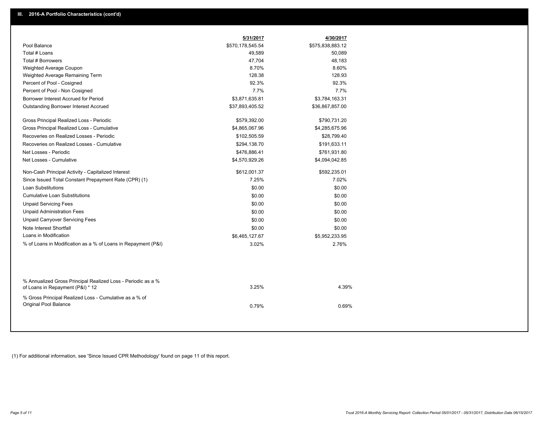|                                                                                                  | 5/31/2017        | 4/30/2017        |
|--------------------------------------------------------------------------------------------------|------------------|------------------|
| Pool Balance                                                                                     | \$570,178,545.54 | \$575,838,883.12 |
| Total # Loans                                                                                    | 49,589           | 50,089           |
| Total # Borrowers                                                                                | 47,704           | 48,183           |
| Weighted Average Coupon                                                                          | 8.70%            | 8.60%            |
| Weighted Average Remaining Term                                                                  | 128.38           | 128.93           |
| Percent of Pool - Cosigned                                                                       | 92.3%            | 92.3%            |
| Percent of Pool - Non Cosigned                                                                   | 7.7%             | 7.7%             |
| Borrower Interest Accrued for Period                                                             | \$3,871,635.81   | \$3,784,163.31   |
| <b>Outstanding Borrower Interest Accrued</b>                                                     | \$37,893,405.52  | \$36,867,857.00  |
| Gross Principal Realized Loss - Periodic                                                         | \$579,392.00     | \$790,731.20     |
| Gross Principal Realized Loss - Cumulative                                                       | \$4,865,067.96   | \$4,285,675.96   |
| Recoveries on Realized Losses - Periodic                                                         | \$102,505.59     | \$28,799.40      |
| Recoveries on Realized Losses - Cumulative                                                       | \$294,138.70     | \$191,633.11     |
| Net Losses - Periodic                                                                            | \$476,886.41     | \$761,931.80     |
| Net Losses - Cumulative                                                                          | \$4,570,929.26   | \$4,094,042.85   |
| Non-Cash Principal Activity - Capitalized Interest                                               | \$612,001.37     | \$592,235.01     |
| Since Issued Total Constant Prepayment Rate (CPR) (1)                                            | 7.25%            | 7.02%            |
| Loan Substitutions                                                                               | \$0.00           | \$0.00           |
| <b>Cumulative Loan Substitutions</b>                                                             | \$0.00           | \$0.00           |
| <b>Unpaid Servicing Fees</b>                                                                     | \$0.00           | \$0.00           |
| <b>Unpaid Administration Fees</b>                                                                | \$0.00           | \$0.00           |
| <b>Unpaid Carryover Servicing Fees</b>                                                           | \$0.00           | \$0.00           |
| Note Interest Shortfall                                                                          | \$0.00           | \$0.00           |
| Loans in Modification                                                                            | \$6,465,127.67   | \$5,952,233.95   |
| % of Loans in Modification as a % of Loans in Repayment (P&I)                                    | 3.02%            | 2.76%            |
|                                                                                                  |                  |                  |
| % Annualized Gross Principal Realized Loss - Periodic as a %<br>of Loans in Repayment (P&I) * 12 | 3.25%            | 4.39%            |
| % Gross Principal Realized Loss - Cumulative as a % of<br>Original Pool Balance                  | 0.79%            | 0.69%            |
|                                                                                                  |                  |                  |

(1) For additional information, see 'Since Issued CPR Methodology' found on page 11 of this report.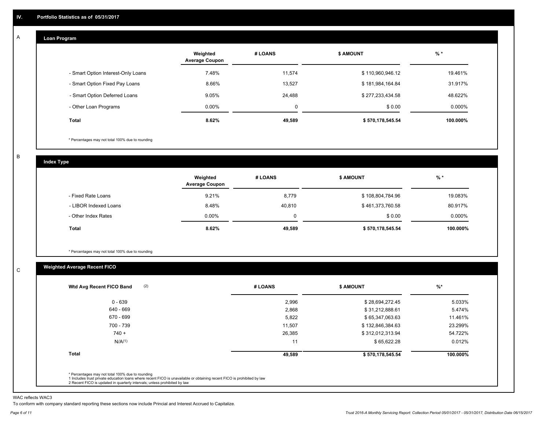#### **Loan Program**  A

|                                    | Weighted<br><b>Average Coupon</b> | # LOANS | <b>\$ AMOUNT</b> | $%$ *     |
|------------------------------------|-----------------------------------|---------|------------------|-----------|
| - Smart Option Interest-Only Loans | 7.48%                             | 11,574  | \$110,960,946.12 | 19.461%   |
| - Smart Option Fixed Pay Loans     | 8.66%                             | 13,527  | \$181,984,164.84 | 31.917%   |
| - Smart Option Deferred Loans      | 9.05%                             | 24,488  | \$277,233,434.58 | 48.622%   |
| - Other Loan Programs              | $0.00\%$                          | 0       | \$0.00           | $0.000\%$ |
| Total                              | 8.62%                             | 49,589  | \$570,178,545.54 | 100.000%  |

\* Percentages may not total 100% due to rounding

B

C

**Index Type**

|                       | Weighted<br><b>Average Coupon</b> | # LOANS  | <b>\$ AMOUNT</b> | $%$ *     |
|-----------------------|-----------------------------------|----------|------------------|-----------|
| - Fixed Rate Loans    | 9.21%                             | 8,779    | \$108,804,784.96 | 19.083%   |
| - LIBOR Indexed Loans | 8.48%                             | 40.810   | \$461,373,760.58 | 80.917%   |
| - Other Index Rates   | $0.00\%$                          | $\Omega$ | \$0.00           | $0.000\%$ |
| <b>Total</b>          | 8.62%                             | 49,589   | \$570,178,545.54 | 100.000%  |

\* Percentages may not total 100% due to rounding

## **Weighted Average Recent FICO**

| $0 - 639$<br>640 - 669 | 2,996  | \$28,694,272.45  |          |
|------------------------|--------|------------------|----------|
|                        |        |                  | 5.033%   |
|                        | 2,868  | \$31,212,888.61  | 5.474%   |
| 670 - 699              | 5,822  | \$65,347,063.63  | 11.461%  |
| 700 - 739              | 11,507 | \$132,846,384.63 | 23.299%  |
| $740 +$                | 26,385 | \$312,012,313.94 | 54.722%  |
| N/A(1)                 | 11     | \$65,622.28      | 0.012%   |
| <b>Total</b>           | 49,589 | \$570,178,545.54 | 100.000% |

WAC reflects WAC3

To conform with company standard reporting these sections now include Princial and Interest Accrued to Capitalize.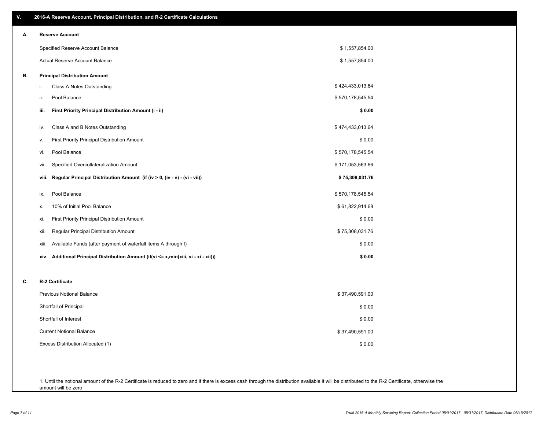| ۷. | 2016-A Reserve Account, Principal Distribution, and R-2 Certificate Calculations     |                  |
|----|--------------------------------------------------------------------------------------|------------------|
| А. | <b>Reserve Account</b>                                                               |                  |
|    | Specified Reserve Account Balance                                                    | \$1,557,854.00   |
|    | Actual Reserve Account Balance                                                       | \$1,557,854.00   |
| В. | <b>Principal Distribution Amount</b>                                                 |                  |
|    | i.<br>Class A Notes Outstanding                                                      | \$424,433,013.64 |
|    | Pool Balance<br>ii.                                                                  | \$570,178,545.54 |
|    | First Priority Principal Distribution Amount (i - ii)<br>iii.                        | \$0.00           |
|    | Class A and B Notes Outstanding<br>iv.                                               | \$474,433,013.64 |
|    | First Priority Principal Distribution Amount<br>۷.                                   | \$0.00           |
|    | Pool Balance<br>vi.                                                                  | \$570,178,545.54 |
|    | Specified Overcollateralization Amount<br>vii.                                       | \$171,053,563.66 |
|    | Regular Principal Distribution Amount (if (iv > 0, (iv - v) - (vi - vii))<br>viii.   | \$75,308,031.76  |
|    | Pool Balance<br>ix.                                                                  | \$570,178,545.54 |
|    | 10% of Initial Pool Balance<br>х.                                                    | \$61,822,914.68  |
|    | First Priority Principal Distribution Amount<br>xi.                                  | \$0.00           |
|    | Regular Principal Distribution Amount<br>xii.                                        | \$75,308,031.76  |
|    | Available Funds (after payment of waterfall items A through I)<br>xiii.              | \$0.00           |
|    | xiv. Additional Principal Distribution Amount (if(vi <= x,min(xiii, vi - xi - xii))) | \$0.00           |
| C. | R-2 Certificate                                                                      |                  |
|    | Previous Notional Balance                                                            | \$37,490,591.00  |
|    | Shortfall of Principal                                                               | \$0.00           |
|    | Shortfall of Interest                                                                | \$0.00           |
|    | <b>Current Notional Balance</b>                                                      | \$37,490,591.00  |
|    | Excess Distribution Allocated (1)                                                    | \$0.00           |
|    |                                                                                      |                  |
|    |                                                                                      |                  |

1. Until the notional amount of the R-2 Certificate is reduced to zero and if there is excess cash through the distribution available it will be distributed to the R-2 Certificate, otherwise the amount will be zero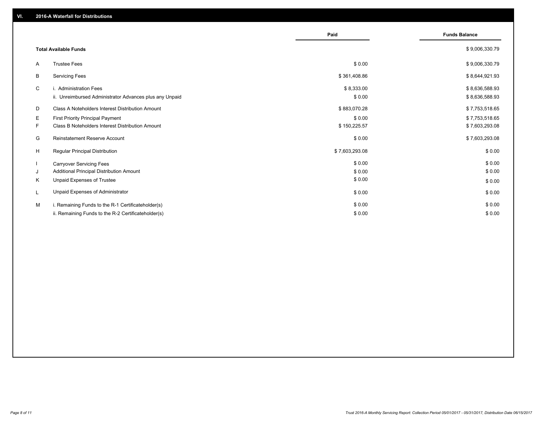|    |                                                         | Paid           | <b>Funds Balance</b> |
|----|---------------------------------------------------------|----------------|----------------------|
|    | <b>Total Available Funds</b>                            |                | \$9,006,330.79       |
| A  | <b>Trustee Fees</b>                                     | \$0.00         | \$9,006,330.79       |
| В  | <b>Servicing Fees</b>                                   | \$361,408.86   | \$8,644,921.93       |
| C  | i. Administration Fees                                  | \$8,333.00     | \$8,636,588.93       |
|    | ii. Unreimbursed Administrator Advances plus any Unpaid | \$0.00         | \$8,636,588.93       |
| D  | Class A Noteholders Interest Distribution Amount        | \$883,070.28   | \$7,753,518.65       |
| Е  | First Priority Principal Payment                        | \$0.00         | \$7,753,518.65       |
| F. | Class B Noteholders Interest Distribution Amount        | \$150,225.57   | \$7,603,293.08       |
| G  | Reinstatement Reserve Account                           | \$0.00         | \$7,603,293.08       |
| H  | Regular Principal Distribution                          | \$7,603,293.08 | \$0.00               |
|    | <b>Carryover Servicing Fees</b>                         | \$0.00         | \$0.00               |
| J  | Additional Principal Distribution Amount                | \$0.00         | \$0.00               |
| Κ  | Unpaid Expenses of Trustee                              | \$0.00         | \$0.00               |
| L  | Unpaid Expenses of Administrator                        | \$0.00         | \$0.00               |
| м  | i. Remaining Funds to the R-1 Certificateholder(s)      | \$0.00         | \$0.00               |
|    | ii. Remaining Funds to the R-2 Certificateholder(s)     | \$0.00         | \$0.00               |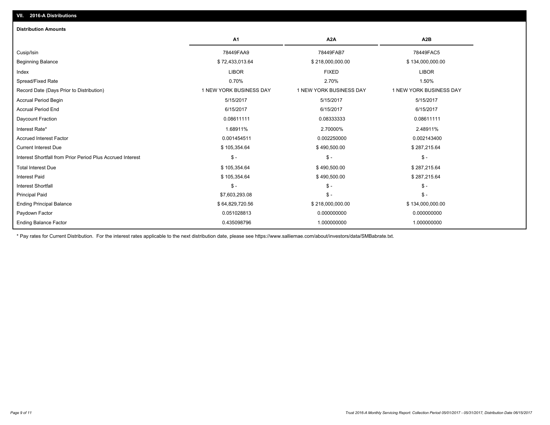| A <sub>1</sub>          | A <sub>2</sub> A        | A2B                     |
|-------------------------|-------------------------|-------------------------|
| 78449FAA9               | 78449FAB7               | 78449FAC5               |
| \$72,433,013.64         | \$218,000,000.00        | \$134,000,000.00        |
| <b>LIBOR</b>            | <b>FIXED</b>            | <b>LIBOR</b>            |
| 0.70%                   | 2.70%                   | 1.50%                   |
| 1 NEW YORK BUSINESS DAY | 1 NEW YORK BUSINESS DAY | 1 NEW YORK BUSINESS DAY |
| 5/15/2017               | 5/15/2017               | 5/15/2017               |
| 6/15/2017               | 6/15/2017               | 6/15/2017               |
| 0.08611111              | 0.08333333              | 0.08611111              |
| 1.68911%                | 2.70000%                | 2.48911%                |
| 0.001454511             | 0.002250000             | 0.002143400             |
| \$105,354.64            | \$490,500.00            | \$287,215.64            |
| $\mathsf S$ -           | $\mathsf{\$}$ -         | $S -$                   |
| \$105,354.64            | \$490,500.00            | \$287,215.64            |
| \$105,354.64            | \$490,500.00            | \$287,215.64            |
| $\mathsf{\$}$ -         | $\mathsf{\$}$ -         | $\mathsf{\$}$ -         |
| \$7,603,293.08          | $\frac{2}{3}$ -         | $S -$                   |
| \$64,829,720.56         | \$218,000,000.00        | \$134,000,000.00        |
| 0.051028813             | 0.000000000             | 0.000000000             |
| 0.435098796             | 1.000000000             | 1.000000000             |
|                         |                         |                         |

\* Pay rates for Current Distribution. For the interest rates applicable to the next distribution date, please see https://www.salliemae.com/about/investors/data/SMBabrate.txt.

**VII. 2016-A Distributions**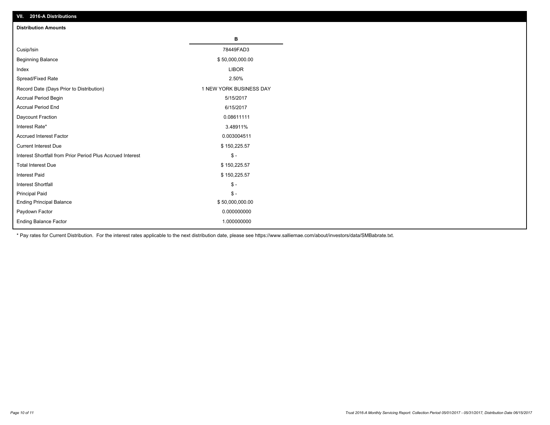| VII. 40 IV-A DISTINUTIONS                                  |                         |
|------------------------------------------------------------|-------------------------|
| <b>Distribution Amounts</b>                                |                         |
|                                                            | в                       |
| Cusip/Isin                                                 | 78449FAD3               |
| <b>Beginning Balance</b>                                   | \$50,000,000.00         |
| Index                                                      | <b>LIBOR</b>            |
| Spread/Fixed Rate                                          | 2.50%                   |
| Record Date (Days Prior to Distribution)                   | 1 NEW YORK BUSINESS DAY |
| Accrual Period Begin                                       | 5/15/2017               |
| <b>Accrual Period End</b>                                  | 6/15/2017               |
| Daycount Fraction                                          | 0.08611111              |
| Interest Rate*                                             | 3.48911%                |
| <b>Accrued Interest Factor</b>                             | 0.003004511             |
| <b>Current Interest Due</b>                                | \$150,225.57            |
| Interest Shortfall from Prior Period Plus Accrued Interest | $\frac{2}{3}$ -         |
| <b>Total Interest Due</b>                                  | \$150,225.57            |
| Interest Paid                                              | \$150,225.57            |
| <b>Interest Shortfall</b>                                  | $$ -$                   |
| <b>Principal Paid</b>                                      | $\frac{2}{3}$ -         |
| <b>Ending Principal Balance</b>                            | \$50,000,000.00         |
| Paydown Factor                                             | 0.000000000             |
| <b>Ending Balance Factor</b>                               | 1.000000000             |

\* Pay rates for Current Distribution. For the interest rates applicable to the next distribution date, please see https://www.salliemae.com/about/investors/data/SMBabrate.txt.

**VII. 2016-A Distributions**